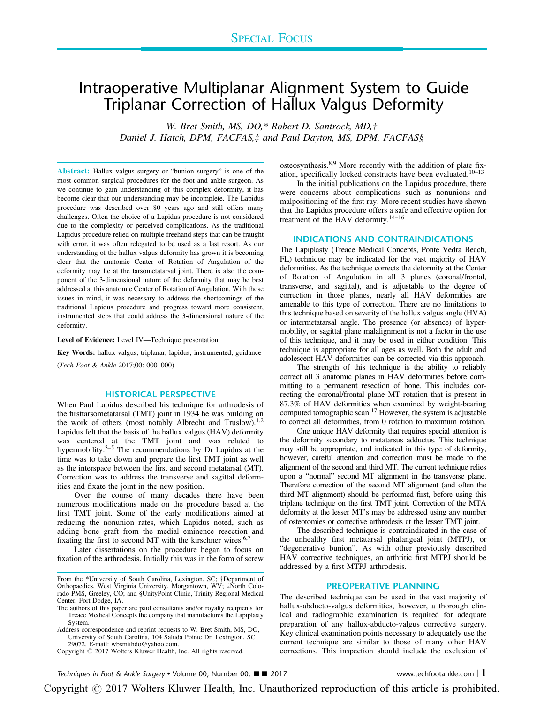# Intraoperative Multiplanar Alignment System to Guide Triplanar Correction of Hallux Valgus Deformity

W. Bret Smith, MS, DO,\* Robert D. Santrock, MD,† Daniel J. Hatch, DPM, FACFAS,‡ and Paul Dayton, MS, DPM, FACFAS§

Abstract: Hallux valgus surgery or "bunion surgery" is one of the most common surgical procedures for the foot and ankle surgeon. As we continue to gain understanding of this complex deformity, it has become clear that our understanding may be incomplete. The Lapidus procedure was described over 80 years ago and still offers many challenges. Often the choice of a Lapidus procedure is not considered due to the complexity or perceived complications. As the traditional Lapidus procedure relied on multiple freehand steps that can be fraught with error, it was often relegated to be used as a last resort. As our understanding of the hallux valgus deformity has grown it is becoming clear that the anatomic Center of Rotation of Angulation of the deformity may lie at the tarsometatarsal joint. There is also the component of the 3-dimensional nature of the deformity that may be best addressed at this anatomic Center of Rotation of Angulation. With those issues in mind, it was necessary to address the shortcomings of the traditional Lapidus procedure and progress toward more consistent, instrumented steps that could address the 3-dimensional nature of the deformity.

Level of Evidence: Level IV—Technique presentation.

Key Words: hallux valgus, triplanar, lapidus, instrumented, guidance (Tech Foot & Ankle 2017;00: 000–000)

# HISTORICAL PERSPECTIVE

When Paul Lapidus described his technique for arthrodesis of the firsttarsometatarsal (TMT) joint in 1934 he was building on the work of others (most notably Albrecht and Truslow).<sup>1,2</sup> Lapidus felt that the basis of the hallux valgus (HAV) deformity was centered at the TMT joint and was related to hypermobility.<sup>3–5</sup> The recommendations by Dr Lapidus at the time was to take down and prepare the first TMT joint as well as the interspace between the first and second metatarsal (MT). Correction was to address the transverse and sagittal deformities and fixate the joint in the new position.

Over the course of many decades there have been numerous modifications made on the procedure based at the first TMT joint. Some of the early modifications aimed at reducing the nonunion rates, which Lapidus noted, such as adding bone graft from the medial eminence resection and fixating the first to second MT with the kirschner wires.<sup>6,7</sup>

Later dissertations on the procedure began to focus on fixation of the arthrodesis. Initially this was in the form of screw

The authors of this paper are paid consultants and/or royalty recipients for Treace Medical Concepts the company that manufactures the Lapiplasty System.

Address correspondence and reprint requests to W. Bret Smith, MS, DO, University of South Carolina, 104 Saluda Pointe Dr. Lexington, SC 29072. E-mail: wbsmithdo@yahoo.com.

Copyright © 2017 Wolters Kluwer Health, Inc. All rights reserved.

osteosynthesis.8,9 More recently with the addition of plate fixation, specifically locked constructs have been evaluated.<sup>10–13</sup>

In the initial publications on the Lapidus procedure, there were concerns about complications such as nonunions and malpositioning of the first ray. More recent studies have shown that the Lapidus procedure offers a safe and effective option for treatment of the HAV deformity.14–<sup>16</sup>

# INDICATIONS AND CONTRAINDICATIONS

The Lapiplasty (Treace Medical Concepts, Ponte Vedra Beach, FL) technique may be indicated for the vast majority of HAV deformities. As the technique corrects the deformity at the Center of Rotation of Angulation in all 3 planes (coronal/frontal, transverse, and sagittal), and is adjustable to the degree of correction in those planes, nearly all HAV deformities are amenable to this type of correction. There are no limitations to this technique based on severity of the hallux valgus angle (HVA) or intermetatarsal angle. The presence (or absence) of hypermobility, or sagittal plane malalignment is not a factor in the use of this technique, and it may be used in either condition. This technique is appropriate for all ages as well. Both the adult and adolescent HAV deformities can be corrected via this approach.

The strength of this technique is the ability to reliably correct all 3 anatomic planes in HAV deformities before committing to a permanent resection of bone. This includes correcting the coronal/frontal plane MT rotation that is present in 87.3% of HAV deformities when examined by weight-bearing computed tomographic scan.17 However, the system is adjustable to correct all deformities, from 0 rotation to maximum rotation.

One unique HAV deformity that requires special attention is the deformity secondary to metatarsus adductus. This technique may still be appropriate, and indicated in this type of deformity, however, careful attention and correction must be made to the alignment of the second and third MT. The current technique relies upon a "normal" second MT alignment in the transverse plane. Therefore correction of the second MT alignment (and often the third MT alignment) should be performed first, before using this triplane technique on the first TMT joint. Correction of the MTA deformity at the lesser MT's may be addressed using any number of osteotomies or corrective arthrodesis at the lesser TMT joint.

The described technique is contraindicated in the case of the unhealthy first metatarsal phalangeal joint (MTPJ), or "degenerative bunion". As with other previously described HAV corrective techniques, an arthritic first MTPJ should be addressed by a first MTPJ arthrodesis.

#### PREOPERATIVE PLANNING

The described technique can be used in the vast majority of hallux-abducto-valgus deformities, however, a thorough clinical and radiographic examination is required for adequate preparation of any hallux-abducto-valgus corrective surgery. Key clinical examination points necessary to adequately use the current technique are similar to those of many other HAV corrections. This inspection should include the exclusion of

Techniques in Foot & Ankle Surgery • Volume 00, Number 00,  $\blacksquare$  2017 www.techfootankle.com  $\mid \mathbf{1} \mid$ 

From the \*University of South Carolina, Lexington, SC; †Department of Orthopaedics, West Virginia University, Morgantown, WV; ‡North Colorado PMS, Greeley, CO; and §UnityPoint Clinic, Trinity Regional Medical Center, Fort Dodge, IA.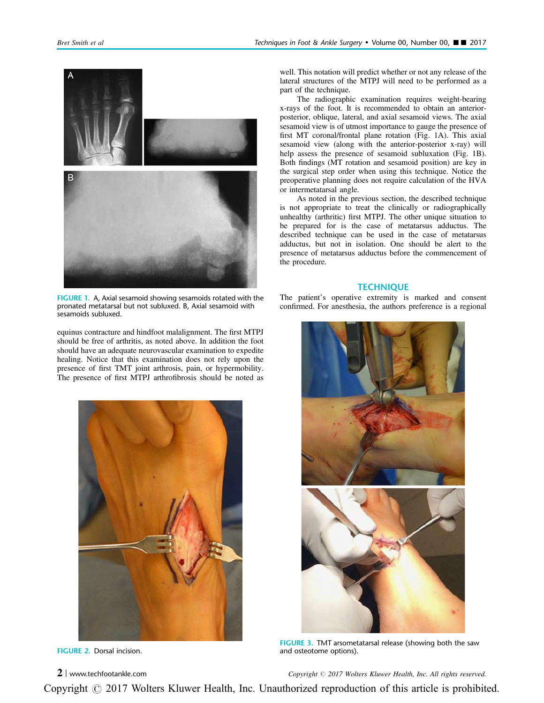

FIGURE 1. A, Axial sesamoid showing sesamoids rotated with the pronated metatarsal but not subluxed. B, Axial sesamoid with sesamoids subluxed.

equinus contracture and hindfoot malalignment. The first MTPJ should be free of arthritis, as noted above. In addition the foot should have an adequate neurovascular examination to expedite healing. Notice that this examination does not rely upon the presence of first TMT joint arthrosis, pain, or hypermobility. The presence of first MTPJ arthrofibrosis should be noted as



FIGURE 2. Dorsal incision.

well. This notation will predict whether or not any release of the lateral structures of the MTPJ will need to be performed as a part of the technique.

The radiographic examination requires weight-bearing x-rays of the foot. It is recommended to obtain an anteriorposterior, oblique, lateral, and axial sesamoid views. The axial sesamoid view is of utmost importance to gauge the presence of first MT coronal/frontal plane rotation (Fig. 1A). This axial sesamoid view (along with the anterior-posterior x-ray) will help assess the presence of sesamoid subluxation (Fig. 1B). Both findings (MT rotation and sesamoid position) are key in the surgical step order when using this technique. Notice the preoperative planning does not require calculation of the HVA or intermetatarsal angle.

As noted in the previous section, the described technique is not appropriate to treat the clinically or radiographically unhealthy (arthritic) first MTPJ. The other unique situation to be prepared for is the case of metatarsus adductus. The described technique can be used in the case of metatarsus adductus, but not in isolation. One should be alert to the presence of metatarsus adductus before the commencement of the procedure.

## **TECHNIQUE**

The patient's operative extremity is marked and consent confirmed. For anesthesia, the authors preference is a regional



FIGURE 3. TMT arsometatarsal release (showing both the saw and osteotome options).

2 | www.techfootankle.com Copyright <sup>r</sup> 2017 Wolters Kluwer Health, Inc. All rights reserved.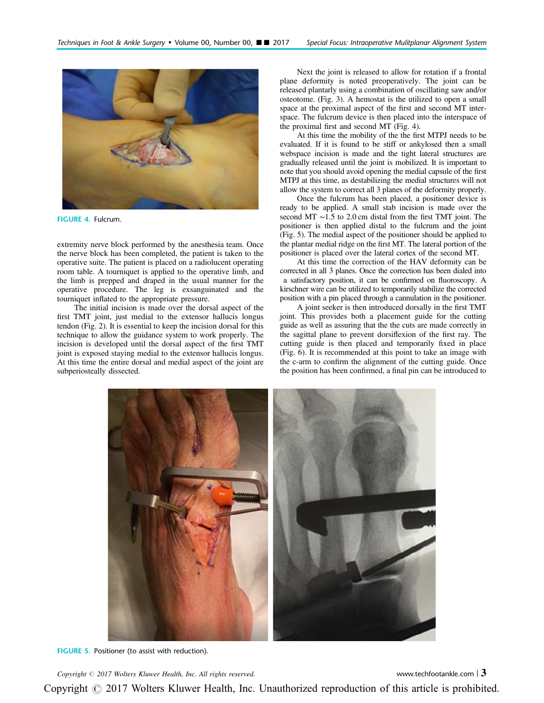

FIGURE 4. Fulcrum.

extremity nerve block performed by the anesthesia team. Once the nerve block has been completed, the patient is taken to the operative suite. The patient is placed on a radiolucent operating room table. A tourniquet is applied to the operative limb, and the limb is prepped and draped in the usual manner for the operative procedure. The leg is exsanguinated and the tourniquet inflated to the appropriate pressure.

The initial incision is made over the dorsal aspect of the first TMT joint, just medial to the extensor hallucis longus tendon (Fig. 2). It is essential to keep the incision dorsal for this technique to allow the guidance system to work properly. The incision is developed until the dorsal aspect of the first TMT joint is exposed staying medial to the extensor hallucis longus. At this time the entire dorsal and medial aspect of the joint are subperiosteally dissected.

Next the joint is released to allow for rotation if a frontal plane deformity is noted preoperatively. The joint can be released plantarly using a combination of oscillating saw and/or osteotome. (Fig. 3). A hemostat is the utilized to open a small space at the proximal aspect of the first and second MT interspace. The fulcrum device is then placed into the interspace of the proximal first and second MT (Fig. 4).

At this time the mobility of the the first MTPJ needs to be evaluated. If it is found to be stiff or ankylosed then a small webspace incision is made and the tight lateral structures are gradually released until the joint is mobilized. It is important to note that you should avoid opening the medial capsule of the first MTPJ at this time, as destabilizing the medial structures will not allow the system to correct all 3 planes of the deformity properly.

Once the fulcrum has been placed, a positioner device is ready to be applied. A small stab incision is made over the second MT ∼1.5 to 2.0 cm distal from the first TMT joint. The positioner is then applied distal to the fulcrum and the joint (Fig. 5). The medial aspect of the positioner should be applied to the plantar medial ridge on the first MT. The lateral portion of the positioner is placed over the lateral cortex of the second MT.

At this time the correction of the HAV deformity can be corrected in all 3 planes. Once the correction has been dialed into a satisfactory position, it can be confirmed on fluoroscopy. A kirschner wire can be utilized to temporarily stabilize the corrected position with a pin placed through a cannulation in the positioner.

A joint seeker is then introduced dorsally in the first TMT joint. This provides both a placement guide for the cutting guide as well as assuring that the the cuts are made correctly in the sagittal plane to prevent dorsiflexion of the first ray. The cutting guide is then placed and temporarily fixed in place (Fig. 6). It is recommended at this point to take an image with the c-arm to confirm the alignment of the cutting guide. Once the position has been confirmed, a final pin can be introduced to



FIGURE 5. Positioner (to assist with reduction).

Copyright  $\degree$  2017 Wolters Kluwer Health, Inc. All rights reserved. www.techfootankle.com | 3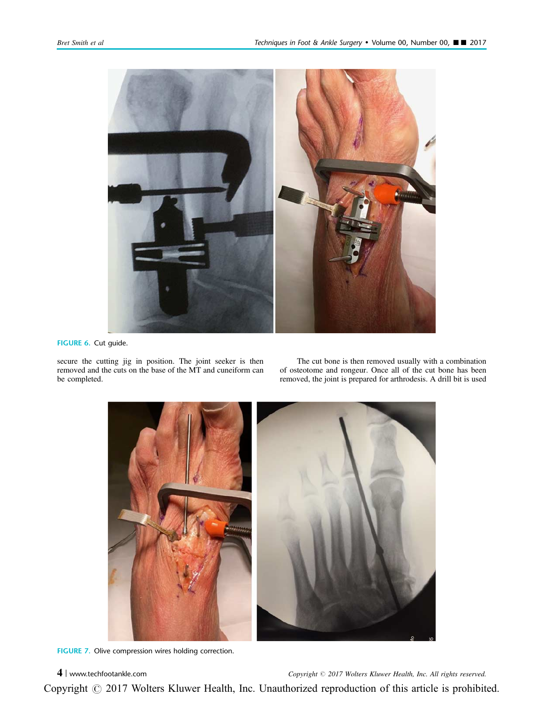

FIGURE 6. Cut guide.

secure the cutting jig in position. The joint seeker is then removed and the cuts on the base of the MT and cuneiform can be completed.

The cut bone is then removed usually with a combination of osteotome and rongeur. Once all of the cut bone has been removed, the joint is prepared for arthrodesis. A drill bit is used



FIGURE 7. Olive compression wires holding correction.

4 | www.techfootankle.com Copyright © 2017 Wolters Kluwer Health, Inc. All rights reserved. Copyright  $\odot$  2017 Wolters Kluwer Health, Inc. Unauthorized reproduction of this article is prohibited.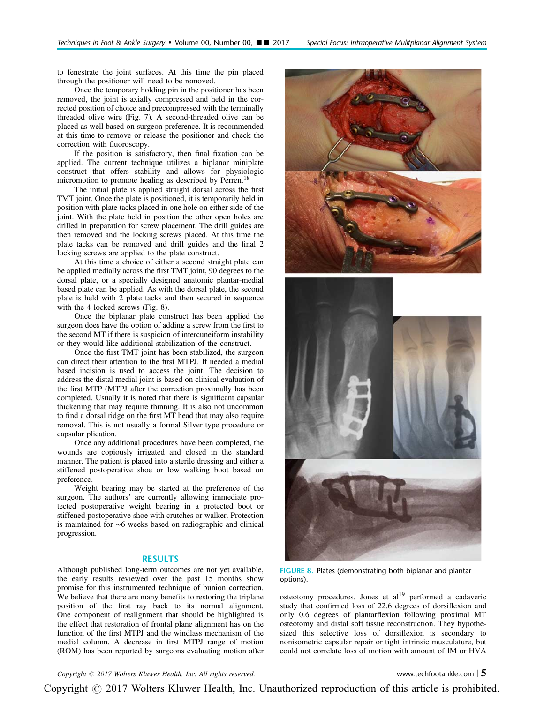to fenestrate the joint surfaces. At this time the pin placed through the positioner will need to be removed.

Once the temporary holding pin in the positioner has been removed, the joint is axially compressed and held in the corrected position of choice and precompressed with the terminally threaded olive wire (Fig. 7). A second-threaded olive can be placed as well based on surgeon preference. It is recommended at this time to remove or release the positioner and check the correction with fluoroscopy.

If the position is satisfactory, then final fixation can be applied. The current technique utilizes a biplanar miniplate construct that offers stability and allows for physiologic micromotion to promote healing as described by Perren.<sup>18</sup>

The initial plate is applied straight dorsal across the first TMT joint. Once the plate is positioned, it is temporarily held in position with plate tacks placed in one hole on either side of the joint. With the plate held in position the other open holes are drilled in preparation for screw placement. The drill guides are then removed and the locking screws placed. At this time the plate tacks can be removed and drill guides and the final 2 locking screws are applied to the plate construct.

At this time a choice of either a second straight plate can be applied medially across the first TMT joint, 90 degrees to the dorsal plate, or a specially designed anatomic plantar-medial based plate can be applied. As with the dorsal plate, the second plate is held with 2 plate tacks and then secured in sequence with the 4 locked screws (Fig. 8).

Once the biplanar plate construct has been applied the surgeon does have the option of adding a screw from the first to the second MT if there is suspicion of intercuneiform instability or they would like additional stabilization of the construct.

Once the first TMT joint has been stabilized, the surgeon can direct their attention to the first MTPJ. If needed a medial based incision is used to access the joint. The decision to address the distal medial joint is based on clinical evaluation of the first MTP (MTPJ after the correction proximally has been completed. Usually it is noted that there is significant capsular thickening that may require thinning. It is also not uncommon to find a dorsal ridge on the first MT head that may also require removal. This is not usually a formal Silver type procedure or capsular plication.

Once any additional procedures have been completed, the wounds are copiously irrigated and closed in the standard manner. The patient is placed into a sterile dressing and either a stiffened postoperative shoe or low walking boot based on preference.

Weight bearing may be started at the preference of the surgeon. The authors' are currently allowing immediate protected postoperative weight bearing in a protected boot or stiffened postoperative shoe with crutches or walker. Protection is maintained for ∼6 weeks based on radiographic and clinical progression.

#### RESULTS

Although published long-term outcomes are not yet available, the early results reviewed over the past 15 months show promise for this instrumented technique of bunion correction. We believe that there are many benefits to restoring the triplane position of the first ray back to its normal alignment. One component of realignment that should be highlighted is the effect that restoration of frontal plane alignment has on the function of the first MTPJ and the windlass mechanism of the medial column. A decrease in first MTPJ range of motion (ROM) has been reported by surgeons evaluating motion after



FIGURE 8. Plates (demonstrating both biplanar and plantar options).

osteotomy procedures. Jones et  $al<sup>19</sup>$  performed a cadaveric study that confirmed loss of 22.6 degrees of dorsiflexion and only 0.6 degrees of plantarflexion following proximal MT osteotomy and distal soft tissue reconstruction. They hypothesized this selective loss of dorsiflexion is secondary to nonisometric capsular repair or tight intrinsic musculature, but could not correlate loss of motion with amount of IM or HVA

Copyright  $\degree$  2017 Wolters Kluwer Health, Inc. All rights reserved. www.techfootankle.com | 5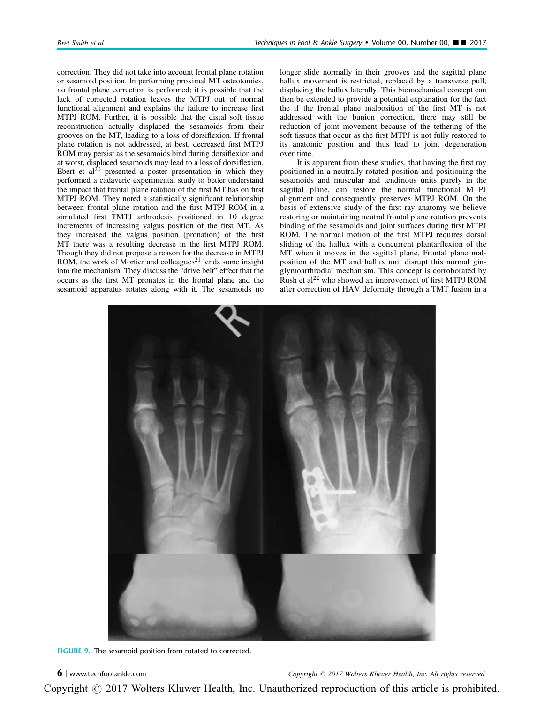correction. They did not take into account frontal plane rotation or sesamoid position. In performing proximal MT osteotomies, no frontal plane correction is performed; it is possible that the lack of corrected rotation leaves the MTPJ out of normal functional alignment and explains the failure to increase first MTPJ ROM. Further, it is possible that the distal soft tissue reconstruction actually displaced the sesamoids from their grooves on the MT, leading to a loss of dorsiflexion. If frontal plane rotation is not addressed, at best, decreased first MTPJ ROM may persist as the sesamoids bind during dorsiflexion and at worst, displaced sesamoids may lead to a loss of dorsiflexion. Ebert et al<sup>20</sup> presented a poster presentation in which they performed a cadaveric experimental study to better understand the impact that frontal plane rotation of the first MT has on first MTPJ ROM. They noted a statistically significant relationship between frontal plane rotation and the first MTPJ ROM in a simulated first TMTJ arthrodesis positioned in 10 degree increments of increasing valgus position of the first MT. As they increased the valgus position (pronation) of the first MT there was a resulting decrease in the first MTPJ ROM. Though they did not propose a reason for the decrease in MTPJ ROM, the work of Mortier and colleagues<sup>21</sup> lends some insight into the mechanism. They discuss the "drive belt" effect that the occurs as the first MT pronates in the frontal plane and the sesamoid apparatus rotates along with it. The sesamoids no longer slide normally in their grooves and the sagittal plane hallux movement is restricted, replaced by a transverse pull, displacing the hallux laterally. This biomechanical concept can then be extended to provide a potential explanation for the fact the if the frontal plane malposition of the first MT is not addressed with the bunion correction, there may still be reduction of joint movement because of the tethering of the soft tissues that occur as the first MTPJ is not fully restored to its anatomic position and thus lead to joint degeneration over time.

It is apparent from these studies, that having the first ray positioned in a neutrally rotated position and positioning the sesamoids and muscular and tendinous units purely in the sagittal plane, can restore the normal functional MTPJ alignment and consequently preserves MTPJ ROM. On the basis of extensive study of the first ray anatomy we believe restoring or maintaining neutral frontal plane rotation prevents binding of the sesamoids and joint surfaces during first MTPJ ROM. The normal motion of the first MTPJ requires dorsal sliding of the hallux with a concurrent plantarflexion of the MT when it moves in the sagittal plane. Frontal plane malposition of the MT and hallux unit disrupt this normal ginglymoarthrodial mechanism. This concept is corroborated by Rush et al<sup>22</sup> who showed an improvement of first MTPJ ROM after correction of HAV deformity through a TMT fusion in a



FIGURE 9. The sesamoid position from rotated to corrected.

 $6$  | www.techfootankle.com  $6$  | www.techfootankle.com  $Copyright \otimes 2017$  Wolters Kluwer Health, Inc. All rights reserved. Copyright  $\odot$  2017 Wolters Kluwer Health, Inc. Unauthorized reproduction of this article is prohibited.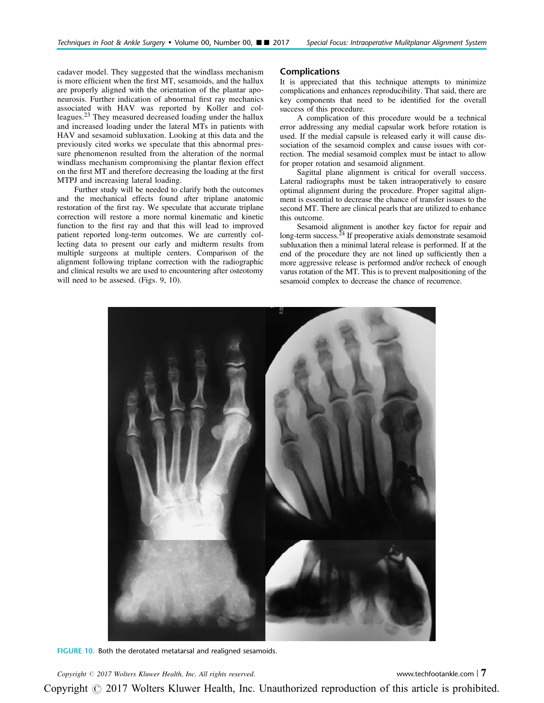cadaver model. They suggested that the windlass mechanism is more efficient when the first MT, sesamoids, and the hallux are properly aligned with the orientation of the plantar aponeurosis. Further indication of abnormal first ray mechanics associated with HAV was reported by Koller and colleagues.<sup>23</sup> They measured decreased loading under the hallux and increased loading under the lateral MTs in patients with HAV and sesamoid subluxation. Looking at this data and the previously cited works we speculate that this abnormal pressure phenomenon resulted from the alteration of the normal windlass mechanism compromising the plantar flexion effect on the first MT and therefore decreasing the loading at the first MTPJ and increasing lateral loading.

Further study will be needed to clarify both the outcomes and the mechanical effects found after triplane anatomic restoration of the first ray. We speculate that accurate triplane correction will restore a more normal kinematic and kinetic function to the first ray and that this will lead to improved patient reported long-term outcomes. We are currently collecting data to present our early and midterm results from multiple surgeons at multiple centers. Comparison of the alignment following triplane correction with the radiographic and clinical results we are used to encountering after osteotomy will need to be assesed. (Figs. 9, 10).

#### Complications

It is appreciated that this technique attempts to minimize complications and enhances reproducibility. That said, there are key components that need to be identified for the overall success of this procedure.

A complication of this procedure would be a technical error addressing any medial capsular work before rotation is used. If the medial capsule is released early it will cause dissociation of the sesamoid complex and cause issues with correction. The medial sesamoid complex must be intact to allow for proper rotation and sesamoid alignment.

Sagittal plane alignment is critical for overall success. Lateral radiographs must be taken intraoperatively to ensure optimal alignment during the procedure. Proper sagittal alignment is essential to decrease the chance of transfer issues to the second MT. There are clinical pearls that are utilized to enhance this outcome.

Sesamoid alignment is another key factor for repair and long-term success.<sup> $24$ </sup> If preoperative axials demonstrate sesamoid subluxation then a minimal lateral release is performed. If at the end of the procedure they are not lined up sufficiently then a more aggressive release is performed and/or recheck of enough varus rotation of the MT. This is to prevent malpositioning of the sesamoid complex to decrease the chance of recurrence.



FIGURE 10. Both the derotated metatarsal and realigned sesamoids.

 $Copyright © 2017 Wolters Kluwer Health, Inc. All rights reserved.$ Www.techfootankle.com |  $7$